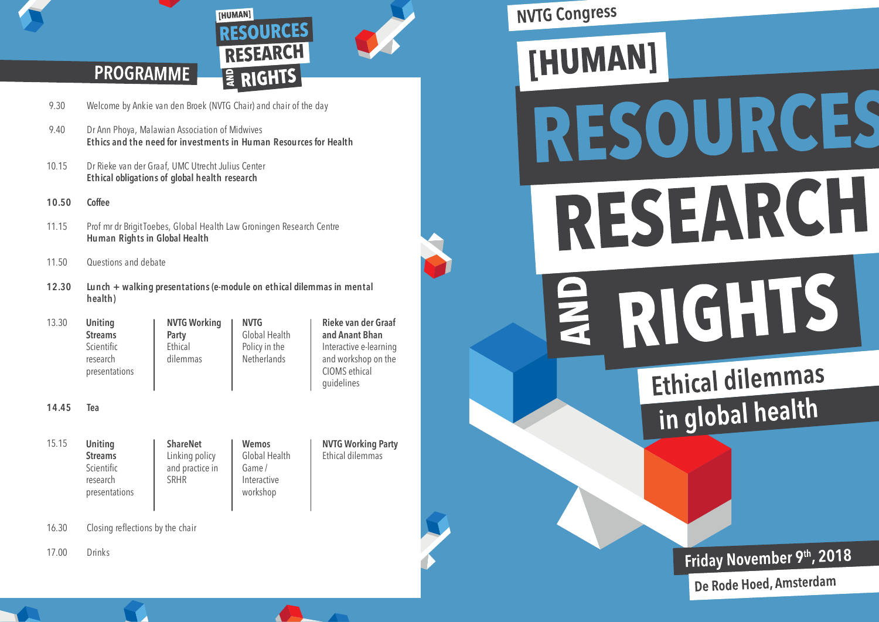

**NVTG Working Party** Ethical dilemmas

# **PROGRAMME**

- 9.30 Welcome by Ankie van den Broek (NVTG Chair) and chair of the day
- 9.40 Dr Ann Phoya, Malawian Association of Midwives **Ethics and the need for investments in Human Resources for Health**

[HUMAN]

- 10.15 Dr Rieke van der Graaf, UMC Utrecht Julius Center **Ethical obligations of global health research**
- **10.50 Coffee**
- 11.15 Prof mr dr Brigit Toebes, Global Health Law Groningen Research Centre **Human Rights in Global Health**
- 11.50 Questions and debate
- **12.30 Lunch + walking presentations (e-module on ethical dilemmas in mental health)**

| 13.30 | Uniting                                 | <b>NVTG Working</b> | <b>NVTG</b>                  | Rieke van der Graaf                                                          |
|-------|-----------------------------------------|---------------------|------------------------------|------------------------------------------------------------------------------|
|       | <b>Streams</b>                          | Party               | Global Health                | and Anant Bhan                                                               |
|       | Scientific<br>research<br>presentations | Ethical<br>dilemmas | Policy in the<br>Netherlands | Interactive e-learning<br>and workshop on the<br>CIOMS ethical<br>quidelines |

**14.45 Tea**

- 15.15 **Uniting Streams** Scientific research presentations **ShareNet** Linking policy and practice in SRHR **Wemos** Global Health Game / Interactive workshop
- 16.30 Closing reflections by the chair
- 17.00 Drinks

**NVTG Congress** 



Ethical dilemmas in global health

Friday November 9th, 2018

De Rode Hoed, Amsterdam